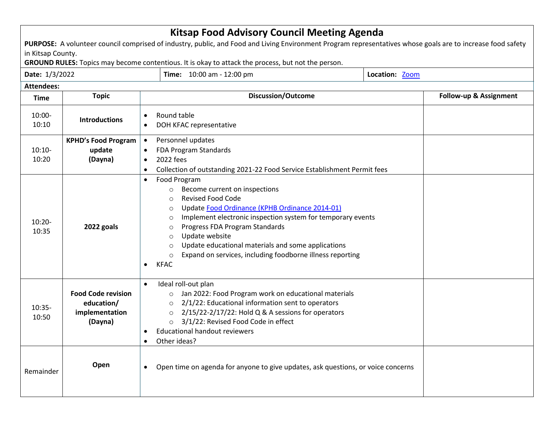## **Kitsap Food Advisory Council Meeting Agenda**

PURPOSE: A volunteer council comprised of industry, public, and Food and Living Environment Program representatives whose goals are to increase food safety in Kitsap County.

**GROUND RULES:** Topics may become contentious. It is okay to attack the process, but not the person.

| Date: 1/3/2022     |                                                                      | Time: 10:00 am - 12:00 pm                                                                                                                                                                                                                                                                                                                                                                                                                                                                            | Location: Zoom |                        |
|--------------------|----------------------------------------------------------------------|------------------------------------------------------------------------------------------------------------------------------------------------------------------------------------------------------------------------------------------------------------------------------------------------------------------------------------------------------------------------------------------------------------------------------------------------------------------------------------------------------|----------------|------------------------|
| <b>Attendees:</b>  |                                                                      |                                                                                                                                                                                                                                                                                                                                                                                                                                                                                                      |                |                        |
| <b>Time</b>        | <b>Topic</b>                                                         | <b>Discussion/Outcome</b>                                                                                                                                                                                                                                                                                                                                                                                                                                                                            |                | Follow-up & Assignment |
| 10:00-<br>10:10    | <b>Introductions</b>                                                 | Round table<br>$\bullet$<br>DOH KFAC representative<br>$\bullet$                                                                                                                                                                                                                                                                                                                                                                                                                                     |                |                        |
| $10:10-$<br>10:20  | <b>KPHD's Food Program</b><br>update<br>(Dayna)                      | Personnel updates<br>$\bullet$<br>FDA Program Standards<br>$\bullet$<br>2022 fees<br>$\bullet$<br>Collection of outstanding 2021-22 Food Service Establishment Permit fees<br>$\bullet$                                                                                                                                                                                                                                                                                                              |                |                        |
| $10:20 -$<br>10:35 | 2022 goals                                                           | Food Program<br>$\bullet$<br>Become current on inspections<br>$\circ$<br><b>Revised Food Code</b><br>$\Omega$<br>Update Food Ordinance (KPHB Ordinance 2014-01)<br>$\circ$<br>Implement electronic inspection system for temporary events<br>$\circ$<br>Progress FDA Program Standards<br>$\circ$<br>Update website<br>$\circ$<br>Update educational materials and some applications<br>$\Omega$<br>Expand on services, including foodborne illness reporting<br>$\circ$<br><b>KFAC</b><br>$\bullet$ |                |                        |
| $10:35-$<br>10:50  | <b>Food Code revision</b><br>education/<br>implementation<br>(Dayna) | Ideal roll-out plan<br>$\bullet$<br>Jan 2022: Food Program work on educational materials<br>$\circ$<br>2/1/22: Educational information sent to operators<br>$\circ$<br>$2/15/22 - 2/17/22$ : Hold Q & A sessions for operators<br>$\circ$<br>3/1/22: Revised Food Code in effect<br>$\circ$<br><b>Educational handout reviewers</b><br>$\bullet$<br>Other ideas?<br>$\bullet$                                                                                                                        |                |                        |
| Remainder          | Open                                                                 | Open time on agenda for anyone to give updates, ask questions, or voice concerns<br>$\bullet$                                                                                                                                                                                                                                                                                                                                                                                                        |                |                        |